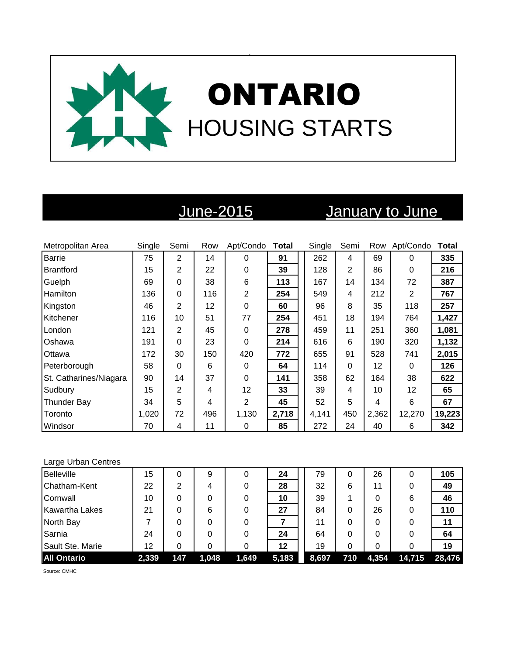

# June-2015 January to June

| Metropolitan Area      | Single | Semi | Row | Apt/Condo        | Total | Single | Semi           | Row   | Apt/Condo | Total  |
|------------------------|--------|------|-----|------------------|-------|--------|----------------|-------|-----------|--------|
| <b>Barrie</b>          | 75     | 2    | 14  | $\Omega$         | 91    | 262    | 4              | 69    | $\Omega$  | 335    |
| <b>Brantford</b>       | 15     | 2    | 22  | $\boldsymbol{0}$ | 39    | 128    | $\overline{2}$ | 86    | 0         | 216    |
| Guelph                 | 69     | 0    | 38  | 6                | 113   | 167    | 14             | 134   | 72        | 387    |
| Hamilton               | 136    | 0    | 116 | $\overline{2}$   | 254   | 549    | 4              | 212   | 2         | 767    |
| Kingston               | 46     | 2    | 12  | $\boldsymbol{0}$ | 60    | 96     | 8              | 35    | 118       | 257    |
| Kitchener              | 116    | 10   | 51  | 77               | 254   | 451    | 18             | 194   | 764       | 1,427  |
| London                 | 121    | 2    | 45  | 0                | 278   | 459    | 11             | 251   | 360       | 1,081  |
| Oshawa                 | 191    | 0    | 23  | $\mathbf 0$      | 214   | 616    | 6              | 190   | 320       | 1,132  |
| Ottawa                 | 172    | 30   | 150 | 420              | 772   | 655    | 91             | 528   | 741       | 2,015  |
| Peterborough           | 58     | 0    | 6   | 0                | 64    | 114    | $\Omega$       | 12    | $\Omega$  | 126    |
| St. Catharines/Niagara | 90     | 14   | 37  | 0                | 141   | 358    | 62             | 164   | 38        | 622    |
| Sudbury                | 15     | 2    | 4   | 12               | 33    | 39     | 4              | 10    | 12        | 65     |
| <b>Thunder Bay</b>     | 34     | 5    | 4   | $\overline{2}$   | 45    | 52     | 5              | 4     | 6         | 67     |
| Toronto                | 1,020  | 72   | 496 | 1,130            | 2,718 | 4,141  | 450            | 2,362 | 12,270    | 19,223 |
| Windsor                | 70     | 4    | 11  | 0                | 85    | 272    | 24             | 40    | 6         | 342    |

### Large Urban Centres

| <b>Belleville</b>     | 15    | 0   | 9     | 0     | 24    | 79    | 0   | 26    | 0      | 105    |
|-----------------------|-------|-----|-------|-------|-------|-------|-----|-------|--------|--------|
| Chatham-Kent          | 22    | 2   | 4     |       | 28    | 32    | 6   | 11    | 0      | 49     |
| Cornwall              | 10    |     | 0     |       | 10    | 39    |     | 0     | 6      | 46     |
| <b>Kawartha Lakes</b> | 21    | 0   | 6     |       | 27    | 84    | 0   | 26    | 0      | 110    |
| North Bay             |       |     | 0     |       |       | 11    | 0   | 0     | 0      | 11     |
| Sarnia                | 24    | 0   | 0     |       | 24    | 64    | 0   | 0     |        | 64     |
| Sault Ste. Marie      | 12    | 0   |       |       | 12    | 19    | 0   | 0     |        | 19     |
| <b>All Ontario</b>    | 2,339 | 147 | 1,048 | 1,649 | 5,183 | 8,697 | 710 | 4,354 | 14,715 | 28,476 |

Source: CMHC